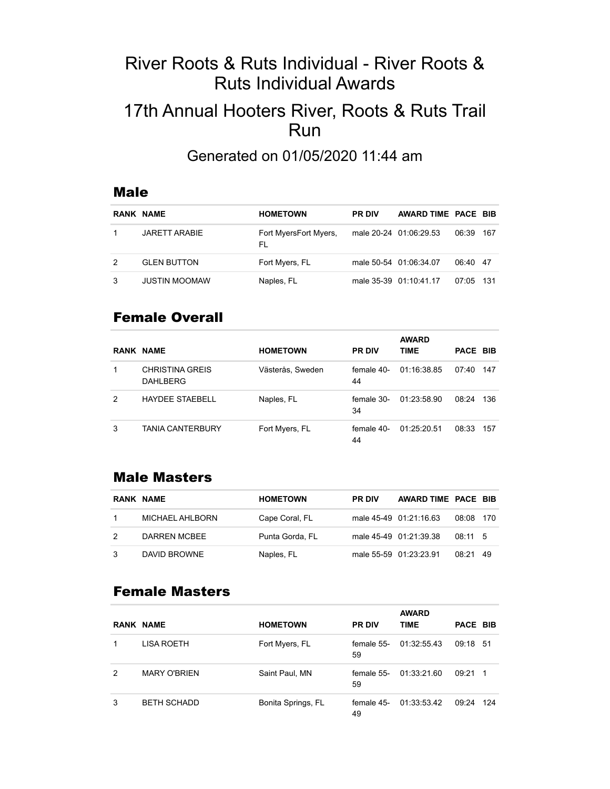# River Roots & Ruts Individual - River Roots & Ruts Individual Awards

# 17th Annual Hooters River, Roots & Ruts Trail Run

Generated on 01/05/2020 11:44 am

#### Male

|   | <b>RANK NAME</b>     | <b>HOMETOWN</b>              | <b>PR DIV</b> | AWARD TIME PACE BIB    |             |       |
|---|----------------------|------------------------------|---------------|------------------------|-------------|-------|
|   | <b>JARETT ARABIE</b> | Fort MyersFort Myers,<br>FL. |               | male 20-24 01:06:29.53 | 06:39       | - 167 |
| 2 | <b>GLEN BUTTON</b>   | Fort Myers, FL               |               | male 50-54 01:06:34.07 | 06:40 47    |       |
|   | <b>JUSTIN MOOMAW</b> | Naples, FL                   |               | male 35-39 01:10:41.17 | $07,05$ 131 |       |

### Female Overall

|   | <b>RANK NAME</b>                   | <b>HOMETOWN</b>  | <b>PR DIV</b>    | <b>AWARD</b><br>TIME | PACE BIB |      |
|---|------------------------------------|------------------|------------------|----------------------|----------|------|
| 1 | <b>CHRISTINA GREIS</b><br>DAHLBERG | Västerås, Sweden | female 40-<br>44 | 01:16:38.85          | 07:40    | 147  |
| 2 | <b>HAYDEE STAEBELL</b>             | Naples, FL       | female 30-<br>34 | 01:23:58.90          | 08:24    | 136  |
| 3 | <b>TANIA CANTERBURY</b>            | Fort Myers, FL   | female 40-<br>44 | 01:25:20.51          | 08:33    | -157 |

#### Male Masters

| <b>RANK NAME</b> | <b>HOMETOWN</b> | <b>PR DIV</b> | AWARD TIME PACE BIB    |           |     |
|------------------|-----------------|---------------|------------------------|-----------|-----|
| MICHAEL AHLBORN  | Cape Coral, FL  |               | male 45-49 01:21:16.63 | 08:08 170 |     |
| DARREN MCBEE     | Punta Gorda, FL |               | male 45-49 01:21:39.38 | 08:11 5   |     |
| DAVID BROWNE     | Naples, FL      |               | male 55-59 01:23:23.91 | 08:21     | -49 |

### Female Masters

|   | <b>RANK NAME</b>    | <b>HOMETOWN</b>    | <b>PR DIV</b>    | <b>AWARD</b><br><b>TIME</b> | PACE BIB |                |
|---|---------------------|--------------------|------------------|-----------------------------|----------|----------------|
|   | LISA ROETH          | Fort Myers, FL     | female 55-<br>59 | 01:32:55.43                 | 09:18 51 |                |
| 2 | <b>MARY O'BRIEN</b> | Saint Paul, MN     | female 55-<br>59 | 01:33:21.60                 | 09:21    | $\overline{1}$ |
| 3 | <b>BETH SCHADD</b>  | Bonita Springs, FL | female 45-<br>49 | 01:33:53.42                 | 09:24    | -124           |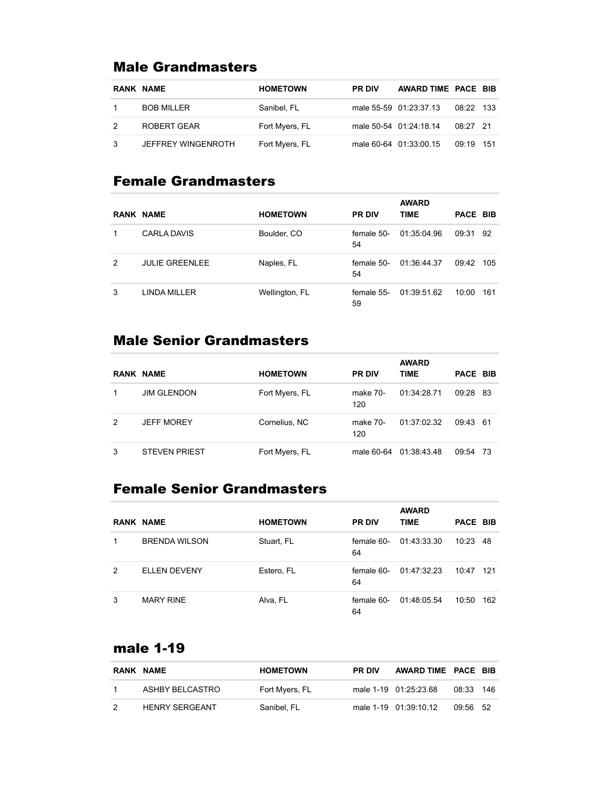# Male Grandmasters

| <b>RANK NAME</b>          | <b>HOMETOWN</b> | <b>PR DIV</b> | AWARD TIME PACE BIB    |            |       |
|---------------------------|-----------------|---------------|------------------------|------------|-------|
| <b>BOB MILLER</b>         | Sanibel, FL     |               | male 55-59 01:23:37.13 | 08:22 133  |       |
| ROBERT GEAR               | Fort Myers, FL  |               | male 50-54 01:24:18.14 | $08.27$ 21 |       |
| <b>JEFFREY WINGENROTH</b> | Fort Myers, FL  |               | male 60-64 01:33:00.15 | 09:19      | - 151 |

# Female Grandmasters

|   | <b>RANK NAME</b>      | <b>HOMETOWN</b> | <b>PR DIV</b>    | <b>AWARD</b><br><b>TIME</b> | <b>PACE BIB</b> |      |
|---|-----------------------|-----------------|------------------|-----------------------------|-----------------|------|
|   |                       |                 |                  |                             |                 |      |
|   | <b>CARLA DAVIS</b>    | Boulder, CO     | female 50-<br>54 | 01:35:04.96                 | 09:31           | - 92 |
| 2 | <b>JULIE GREENLEE</b> | Naples, FL      | female 50-<br>54 | 01:36:44.37                 | 09:42           | 105  |
| 3 | LINDA MILLER          | Wellington, FL  | female 55-<br>59 | 01:39:51.62                 | 10:00           | 161  |

# Male Senior Grandmasters

|   | <b>RANK NAME</b>     | <b>HOMETOWN</b> | <b>PR DIV</b>   | <b>AWARD</b><br><b>TIME</b> | PACE BIB |  |
|---|----------------------|-----------------|-----------------|-----------------------------|----------|--|
|   | <b>JIM GLENDON</b>   | Fort Myers, FL  | make 70-<br>120 | 01:34:28.71                 | 09:28 83 |  |
| 2 | <b>JEFF MOREY</b>    | Cornelius, NC   | make 70-<br>120 | 01:37:02.32                 | 09:43 61 |  |
| 3 | <b>STEVEN PRIEST</b> | Fort Myers, FL  |                 | male 60-64 01:38:43.48      | 09:54 73 |  |

# Female Senior Grandmasters

|   |                      |                 |                  | <b>AWARD</b> |          |      |
|---|----------------------|-----------------|------------------|--------------|----------|------|
|   | <b>RANK NAME</b>     | <b>HOMETOWN</b> | <b>PR DIV</b>    | <b>TIME</b>  | PACE BIB |      |
| 1 | <b>BRENDA WILSON</b> | Stuart, FL      | female 60-<br>64 | 01:43:33.30  | 10:23    | - 48 |
| 2 | <b>ELLEN DEVENY</b>  | Estero, FL      | female 60-<br>64 | 01:47:32.23  | 10:47    | 121  |
| 3 | <b>MARY RINE</b>     | Alva, FL        | female 60-<br>64 | 01:48:05.54  | 10:50    | 162  |

# male 1-19

| <b>RANK NAME</b>      | <b>HOMETOWN</b> | <b>PR DIV</b> | AWARD TIME PACE BIB   |          |     |
|-----------------------|-----------------|---------------|-----------------------|----------|-----|
| ASHBY BELCASTRO       | Fort Myers, FL  |               | male 1-19 01:25:23.68 | 08:33    | 146 |
| <b>HENRY SERGEANT</b> | Sanibel, FL     |               | male 1-19 01:39:10.12 | 09:56 52 |     |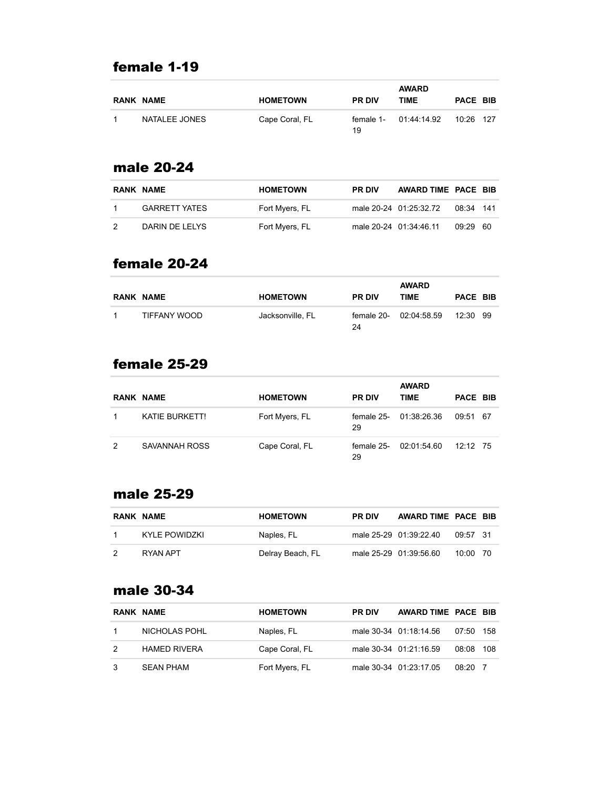# female 1-19

| <b>RANK NAME</b> | <b>HOMETOWN</b> | <b>PR DIV</b> | <b>AWARD</b><br>TIME  | PACE BIB  |  |
|------------------|-----------------|---------------|-----------------------|-----------|--|
| NATALEE JONES    | Cape Coral, FL  | 19            | female 1- 01:44:14.92 | 10:26 127 |  |

#### male 20-24

| <b>RANK NAME</b>     | <b>HOMETOWN</b> | <b>PR DIV</b> | AWARD TIME PACE BIB    |           |  |
|----------------------|-----------------|---------------|------------------------|-----------|--|
| <b>GARRETT YATES</b> | Fort Myers, FL  |               | male 20-24 01:25:32.72 | 08:34 141 |  |
| DARIN DE LELYS       | Fort Myers, FL  |               | male 20-24 01:34:46.11 | 09:29 60  |  |

#### female 20-24

|   | <b>RANK NAME</b> | <b>HOMETOWN</b>  | <b>PR DIV</b> | <b>AWARD</b><br>TIME   | PACE BIB |  |
|---|------------------|------------------|---------------|------------------------|----------|--|
| 1 | TIFFANY WOOD     | Jacksonville. FL | 24            | female 20- 02:04:58.59 | 12:30 99 |  |

# female 25-29

|   | <b>RANK NAME</b>      | <b>HOMETOWN</b> | <b>PR DIV</b>    | <b>AWARD</b><br><b>TIME</b> | PACE BIB   |  |
|---|-----------------------|-----------------|------------------|-----------------------------|------------|--|
|   | <b>KATIE BURKETT!</b> | Fort Myers, FL  | female 25-<br>29 | 01:38:26.36                 | 09:51 67   |  |
| 2 | SAVANNAH ROSS         | Cape Coral, FL  | female 25-<br>29 | 02:01:54.60                 | $12.12$ 75 |  |

#### male 25-29

| <b>RANK NAME</b> | <b>HOMETOWN</b>  | <b>PR DIV</b> | AWARD TIME PACE BIB    |            |  |
|------------------|------------------|---------------|------------------------|------------|--|
| KYI F POWIDZKI   | Naples, FL       |               | male 25-29 01:39:22.40 | 09:57 31   |  |
| RYAN APT         | Delray Beach, FL |               | male 25-29 01:39:56.60 | $10:00$ 70 |  |

#### male 30-34

|               | RANK NAME           | <b>HOMETOWN</b> | <b>PR DIV</b> | AWARD TIME PACE BIB    |           |  |
|---------------|---------------------|-----------------|---------------|------------------------|-----------|--|
|               | NICHOLAS POHL       | Naples, FL      |               | male 30-34 01:18:14.56 | 07:50 158 |  |
| $\mathcal{P}$ | <b>HAMED RIVERA</b> | Cape Coral, FL  |               | male 30-34 01:21:16.59 | 08:08 108 |  |
|               | SEAN PHAM           | Fort Myers, FL  |               | male 30-34 01:23:17.05 | $08:20$ 7 |  |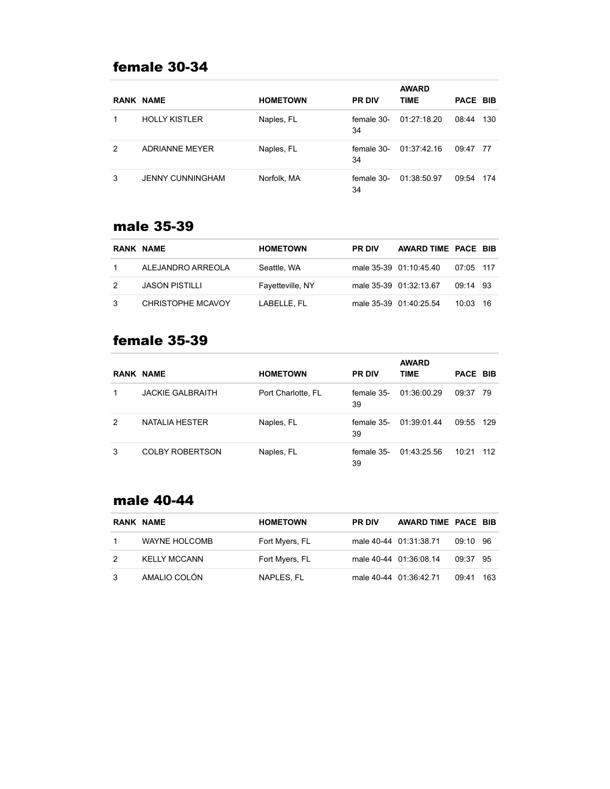# female 30-34

|   | <b>RANK NAME</b>        | <b>HOMETOWN</b> | <b>PR DIV</b>    | <b>AWARD</b><br><b>TIME</b> | PACE BIB |       |
|---|-------------------------|-----------------|------------------|-----------------------------|----------|-------|
|   | <b>HOLLY KISTLER</b>    | Naples, FL      | female 30-<br>34 | 01:27:18.20                 | 08:44    | 130   |
| 2 | <b>ADRIANNE MEYER</b>   | Naples, FL      | female 30-<br>34 | 01:37:42.16                 | 09:47 77 |       |
| 3 | <b>JENNY CUNNINGHAM</b> | Norfolk, MA     | female 30-<br>34 | 01:38:50.97                 | 09:54    | - 174 |

#### male 35-39

|    | RANK NAME             | <b>HOMETOWN</b>  | <b>PR DIV</b> | AWARD TIME PACE BIB    |             |  |
|----|-----------------------|------------------|---------------|------------------------|-------------|--|
|    | ALEJANDRO ARREOLA     | Seattle, WA      |               | male 35-39 01:10:45.40 | $07.05$ 117 |  |
|    | <b>JASON PISTILLI</b> | Fayetteville, NY |               | male 35-39 01:32:13.67 | 09:14 93    |  |
| -3 | CHRISTOPHE MCAVOY     | LABELLE. FL      |               | male 35-39 01:40:25.54 | $10.03$ 16  |  |

# female 35-39

|   | RANK NAME               | <b>HOMETOWN</b>    | <b>PR DIV</b>    | <b>AWARD</b><br>TIME | PACE BIB |      |
|---|-------------------------|--------------------|------------------|----------------------|----------|------|
|   |                         |                    |                  |                      |          |      |
|   | <b>JACKIE GALBRAITH</b> | Port Charlotte, FL | female 35-<br>39 | 01:36:00.29          | 09:37    | - 79 |
| 2 | NATALIA HESTER          | Naples, FL         | female 35-<br>39 | 01:39:01.44          | 09:55    | -129 |
| 3 | <b>COLBY ROBERTSON</b>  | Naples, FL         | female 35-<br>39 | 01:43:25.56          | 10:21    | 112  |

#### male 40-44

|               | RANK NAME            | <b>HOMETOWN</b> | <b>PR DIV</b> | AWARD TIME PACE BIB    |          |     |
|---------------|----------------------|-----------------|---------------|------------------------|----------|-----|
|               | <b>WAYNE HOLCOMB</b> | Fort Myers, FL  |               | male 40-44 01:31:38.71 | 09:10 96 |     |
| $\mathcal{P}$ | <b>KELLY MCCANN</b>  | Fort Myers, FL  |               | male 40-44 01:36:08.14 | 09:37 95 |     |
| 3             | AMALIO COLÓN         | NAPLES, FL      |               | male 40-44 01:36:42.71 | 09.41    | 163 |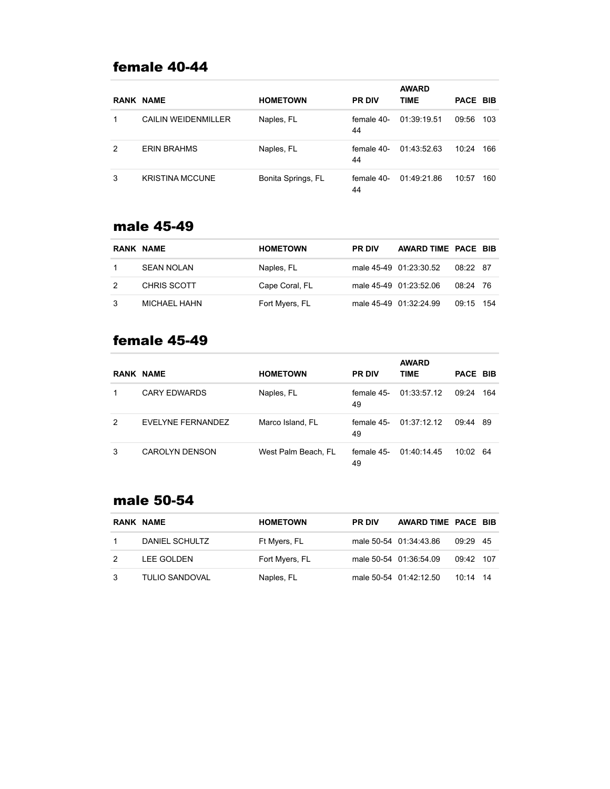# female 40-44

|   | <b>RANK NAME</b>           | <b>HOMETOWN</b>    | <b>PR DIV</b>    | <b>AWARD</b><br><b>TIME</b> | PACE BIB |     |
|---|----------------------------|--------------------|------------------|-----------------------------|----------|-----|
|   | <b>CAILIN WEIDENMILLER</b> | Naples, FL         | female 40-<br>44 | 01:39:19.51                 | 09:56    | 103 |
| 2 | <b>FRIN BRAHMS</b>         | Naples, FL         | female 40-<br>44 | 01:43:52.63                 | 10:24    | 166 |
| 3 | <b>KRISTINA MCCUNE</b>     | Bonita Springs, FL | female 40-<br>44 | 01:49:21.86                 | 10:57    | 160 |

#### male 45-49

|    | RANK NAME         | <b>HOMETOWN</b> | <b>PR DIV</b> | AWARD TIME PACE BIB    |           |  |
|----|-------------------|-----------------|---------------|------------------------|-----------|--|
|    | <b>SEAN NOLAN</b> | Naples, FL      |               | male 45-49 01:23:30.52 | 08:22 87  |  |
| 2  | CHRIS SCOTT       | Cape Coral, FL  |               | male 45-49 01:23:52.06 | 08:24 76  |  |
| -3 | MICHAEL HAHN      | Fort Myers, FL  |               | male 45-49 01:32:24.99 | 09:15 154 |  |

# female 45-49

|   | <b>RANK NAME</b>      | <b>HOMETOWN</b>     | <b>PR DIV</b>    | <b>AWARD</b><br><b>TIME</b> | PACE BIB |     |
|---|-----------------------|---------------------|------------------|-----------------------------|----------|-----|
|   | <b>CARY EDWARDS</b>   | Naples, FL          | female 45-<br>49 | 01:33:57.12                 | 09:24    | 164 |
| 2 | EVELYNE FERNANDEZ     | Marco Island, FL    | female 45-<br>49 | 01:37:12.12                 | 09:44 89 |     |
| 3 | <b>CAROLYN DENSON</b> | West Palm Beach, FL | female 45-<br>49 | 01:40:14:45                 | 10:02 64 |     |

#### male 50-54

| RANK NAME      | <b>HOMETOWN</b> | <b>PR DIV</b> | AWARD TIME PACE BIB    |             |  |
|----------------|-----------------|---------------|------------------------|-------------|--|
| DANIEL SCHULTZ | Ft Myers, FL    |               | male 50-54 01:34:43.86 | 09:29 45    |  |
| LEE GOLDEN     | Fort Myers, FL  |               | male 50-54 01:36:54.09 | $09.42$ 107 |  |
| TULIO SANDOVAL | Naples, FL      |               | male 50-54 01:42:12.50 | $10.14$ 14  |  |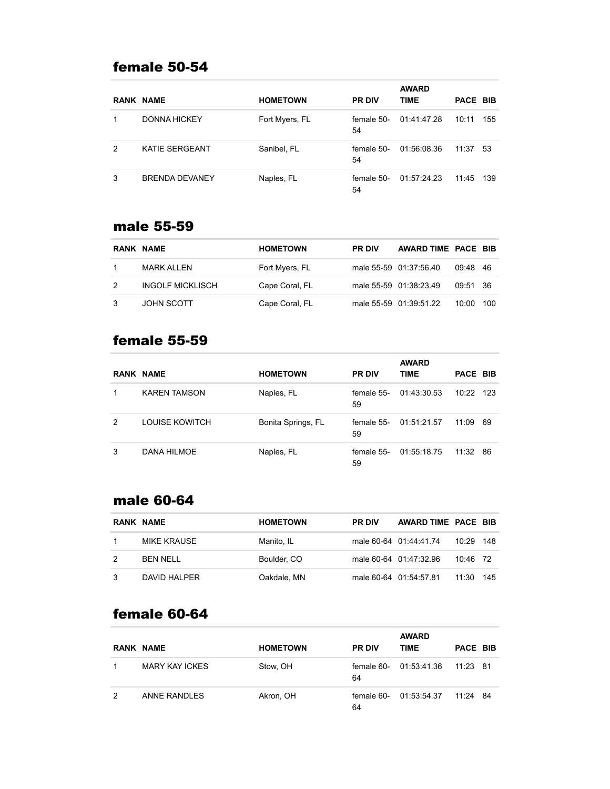#### female 50-54

|   | <b>RANK NAME</b>      | <b>HOMETOWN</b> | <b>PR DIV</b>    | <b>AWARD</b><br><b>TIME</b> | PACE BIB |     |
|---|-----------------------|-----------------|------------------|-----------------------------|----------|-----|
|   | <b>DONNA HICKEY</b>   | Fort Myers, FL  | female 50-<br>54 | 01:41:47.28                 | 10:11    | 155 |
| 2 | <b>KATIE SERGEANT</b> | Sanibel, FL     | female 50-<br>54 | 01:56:08.36                 | 11:37    | 53  |
| 3 | <b>BRENDA DEVANEY</b> | Naples, FL      | female 50-<br>54 | 01:57:24.23                 | 11:45    | 139 |

#### male 55-59

| RANK NAME               | <b>HOMETOWN</b> | <b>PR DIV</b> | AWARD TIME PACE BIB    |          |     |
|-------------------------|-----------------|---------------|------------------------|----------|-----|
| MARK ALLEN              | Fort Myers, FL  |               | male 55-59 01:37:56.40 | 09:48 46 |     |
| <b>INGOLF MICKLISCH</b> | Cape Coral, FL  |               | male 55-59 01:38:23.49 | 09:51 36 |     |
| <b>JOHN SCOTT</b>       | Cape Coral, FL  |               | male 55-59 01:39:51.22 | 10:00    | 100 |

# female 55-59

|   |                     |                    |                  | <b>AWARD</b> |           |    |
|---|---------------------|--------------------|------------------|--------------|-----------|----|
|   | <b>RANK NAME</b>    | <b>HOMETOWN</b>    | <b>PR DIV</b>    | <b>TIME</b>  | PACE BIB  |    |
|   | <b>KAREN TAMSON</b> | Naples, FL         | female 55-<br>59 | 01:43:30.53  | 10:22 123 |    |
| 2 | LOUISE KOWITCH      | Bonita Springs, FL | female 55-<br>59 | 01:51:21.57  | 11:09     | 69 |
| 3 | DANA HILMOE         | Naples, FL         | female 55-<br>59 | 01:55:18.75  | 11:32     | 86 |

#### male 60-64

| RANK NAME    | <b>HOMETOWN</b> | <b>PR DIV</b> | AWARD TIME PACE BIB    |            |       |
|--------------|-----------------|---------------|------------------------|------------|-------|
| MIKE KRAUSE  | Manito. IL      |               | male 60-64 01:44:41.74 | 10:29      | - 148 |
| BEN NELL     | Boulder, CO     |               | male 60-64 01:47:32.96 | $10.46$ 72 |       |
| DAVID HALPER | Oakdale, MN     |               | male 60-64 01:54:57.81 | 11:30      | 145   |

# female 60-64

|   | <b>RANK NAME</b>      | <b>HOMETOWN</b> | <b>PR DIV</b>    | <b>AWARD</b><br><b>TIME</b> | <b>PACE BIB</b> |  |
|---|-----------------------|-----------------|------------------|-----------------------------|-----------------|--|
|   | <b>MARY KAY ICKES</b> | Stow, OH        | female 60-<br>64 | 01:53:41.36                 | 11:23 81        |  |
| 2 | ANNE RANDLES          | Akron, OH       | female 60-<br>64 | 01:53:54.37                 | $11.24$ 84      |  |